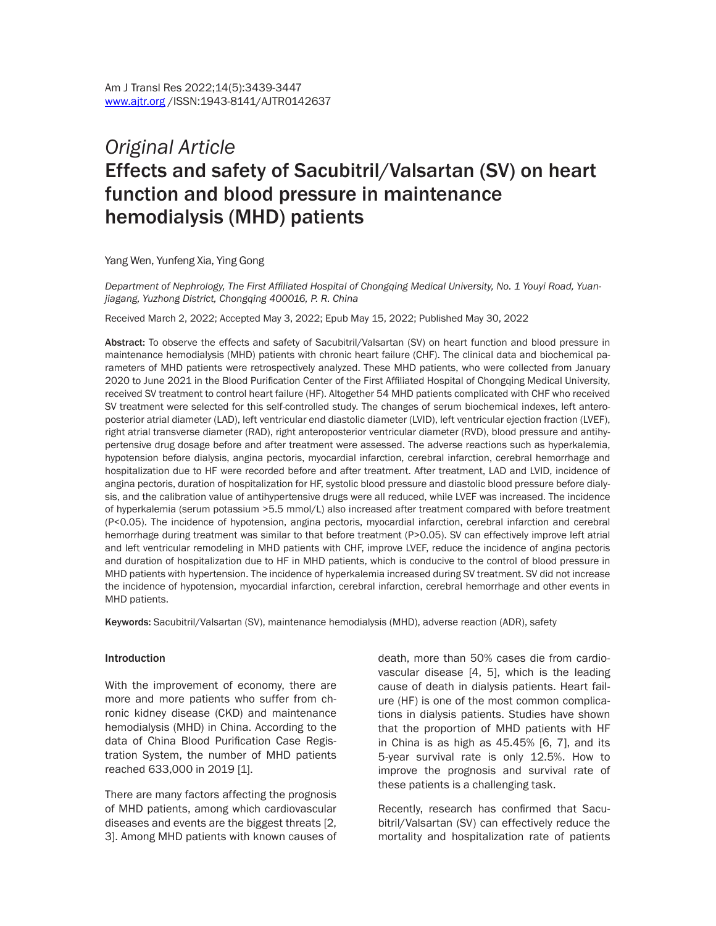# *Original Article* Effects and safety of Sacubitril/Valsartan (SV) on heart function and blood pressure in maintenance hemodialysis (MHD) patients

Yang Wen, Yunfeng Xia, Ying Gong

*Department of Nephrology, The First Affiliated Hospital of Chongqing Medical University, No. 1 Youyi Road, Yuanjiagang, Yuzhong District, Chongqing 400016, P. R. China*

Received March 2, 2022; Accepted May 3, 2022; Epub May 15, 2022; Published May 30, 2022

Abstract: To observe the effects and safety of Sacubitril/Valsartan (SV) on heart function and blood pressure in maintenance hemodialysis (MHD) patients with chronic heart failure (CHF). The clinical data and biochemical parameters of MHD patients were retrospectively analyzed. These MHD patients, who were collected from January 2020 to June 2021 in the Blood Purification Center of the First Affiliated Hospital of Chongqing Medical University, received SV treatment to control heart failure (HF). Altogether 54 MHD patients complicated with CHF who received SV treatment were selected for this self-controlled study. The changes of serum biochemical indexes, left anteroposterior atrial diameter (LAD), left ventricular end diastolic diameter (LVID), left ventricular ejection fraction (LVEF), right atrial transverse diameter (RAD), right anteroposterior ventricular diameter (RVD), blood pressure and antihypertensive drug dosage before and after treatment were assessed. The adverse reactions such as hyperkalemia, hypotension before dialysis, angina pectoris, myocardial infarction, cerebral infarction, cerebral hemorrhage and hospitalization due to HF were recorded before and after treatment. After treatment, LAD and LVID, incidence of angina pectoris, duration of hospitalization for HF, systolic blood pressure and diastolic blood pressure before dialysis, and the calibration value of antihypertensive drugs were all reduced, while LVEF was increased. The incidence of hyperkalemia (serum potassium >5.5 mmol/L) also increased after treatment compared with before treatment (P<0.05). The incidence of hypotension, angina pectoris, myocardial infarction, cerebral infarction and cerebral hemorrhage during treatment was similar to that before treatment (P>0.05). SV can effectively improve left atrial and left ventricular remodeling in MHD patients with CHF, improve LVEF, reduce the incidence of angina pectoris and duration of hospitalization due to HF in MHD patients, which is conducive to the control of blood pressure in MHD patients with hypertension. The incidence of hyperkalemia increased during SV treatment. SV did not increase the incidence of hypotension, myocardial infarction, cerebral infarction, cerebral hemorrhage and other events in MHD patients.

Keywords: Sacubitril/Valsartan (SV), maintenance hemodialysis (MHD), adverse reaction (ADR), safety

#### Introduction

With the improvement of economy, there are more and more patients who suffer from chronic kidney disease (CKD) and maintenance hemodialysis (MHD) in China. According to the data of China Blood Purification Case Registration System, the number of MHD patients reached 633,000 in 2019 [1].

There are many factors affecting the prognosis of MHD patients, among which cardiovascular diseases and events are the biggest threats [2, 3]. Among MHD patients with known causes of

death, more than 50% cases die from cardiovascular disease [4, 5], which is the leading cause of death in dialysis patients. Heart failure (HF) is one of the most common complications in dialysis patients. Studies have shown that the proportion of MHD patients with HF in China is as high as 45.45% [6, 7], and its 5-year survival rate is only 12.5%. How to improve the prognosis and survival rate of these patients is a challenging task.

Recently, research has confirmed that Sacubitril/Valsartan (SV) can effectively reduce the mortality and hospitalization rate of patients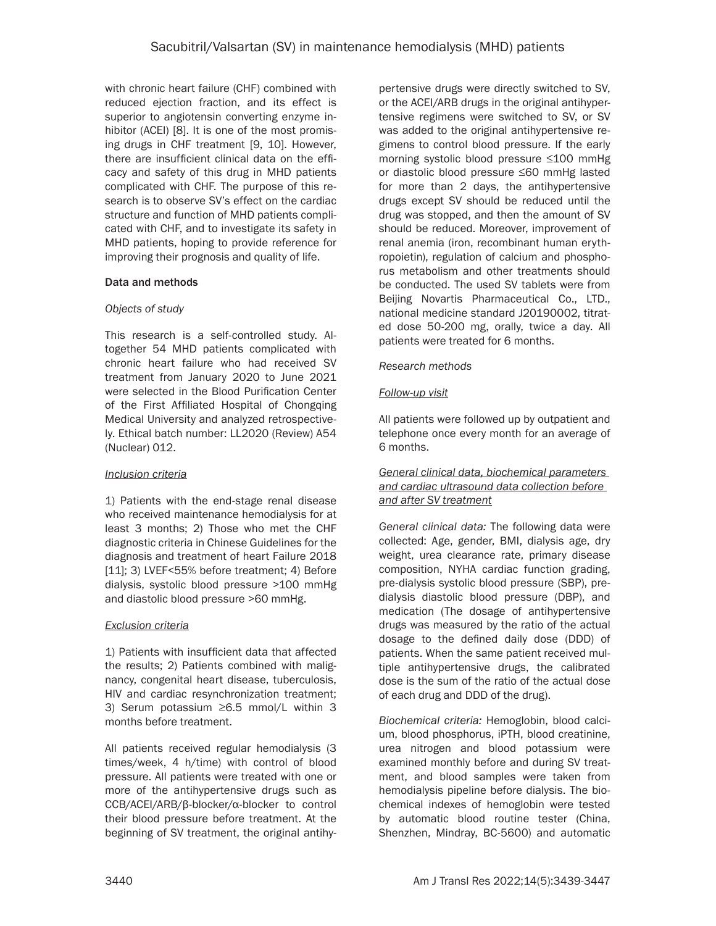with chronic heart failure (CHF) combined with reduced ejection fraction, and its effect is superior to angiotensin converting enzyme inhibitor (ACEI) [8]. It is one of the most promising drugs in CHF treatment [9, 10]. However, there are insufficient clinical data on the efficacy and safety of this drug in MHD patients complicated with CHF. The purpose of this research is to observe SV's effect on the cardiac structure and function of MHD patients complicated with CHF, and to investigate its safety in MHD patients, hoping to provide reference for improving their prognosis and quality of life.

## Data and methods

## *Objects of study*

This research is a self-controlled study. Altogether 54 MHD patients complicated with chronic heart failure who had received SV treatment from January 2020 to June 2021 were selected in the Blood Purification Center of the First Affiliated Hospital of Chongqing Medical University and analyzed retrospectively. Ethical batch number: LL2020 (Review) A54 (Nuclear) 012.

## *Inclusion criteria*

1) Patients with the end-stage renal disease who received maintenance hemodialysis for at least 3 months; 2) Those who met the CHF diagnostic criteria in Chinese Guidelines for the diagnosis and treatment of heart Failure 2018 [11]; 3) LVEF<55% before treatment; 4) Before dialysis, systolic blood pressure >100 mmHg and diastolic blood pressure >60 mmHg.

#### *Exclusion criteria*

1) Patients with insufficient data that affected the results; 2) Patients combined with malignancy, congenital heart disease, tuberculosis, HIV and cardiac resynchronization treatment; 3) Serum potassium ≥6.5 mmol/L within 3 months before treatment.

All patients received regular hemodialysis (3 times/week, 4 h/time) with control of blood pressure. All patients were treated with one or more of the antihypertensive drugs such as CCB/ACEI/ARB/β-blocker/α-blocker to control their blood pressure before treatment. At the beginning of SV treatment, the original antihypertensive drugs were directly switched to SV, or the ACEI/ARB drugs in the original antihypertensive regimens were switched to SV, or SV was added to the original antihypertensive regimens to control blood pressure. If the early morning systolic blood pressure ≤100 mmHg or diastolic blood pressure ≤60 mmHg lasted for more than 2 days, the antihypertensive drugs except SV should be reduced until the drug was stopped, and then the amount of SV should be reduced. Moreover, improvement of renal anemia (iron, recombinant human erythropoietin), regulation of calcium and phosphorus metabolism and other treatments should be conducted. The used SV tablets were from Beijing Novartis Pharmaceutical Co., LTD., national medicine standard J20190002, titrated dose 50-200 mg, orally, twice a day. All patients were treated for 6 months.

## *Research methods*

## *Follow-up visit*

All patients were followed up by outpatient and telephone once every month for an average of 6 months.

#### *General clinical data, biochemical parameters and cardiac ultrasound data collection before and after SV treatment*

*General clinical data:* The following data were collected: Age, gender, BMI, dialysis age, dry weight, urea clearance rate, primary disease composition, NYHA cardiac function grading, pre-dialysis systolic blood pressure (SBP), predialysis diastolic blood pressure (DBP), and medication (The dosage of antihypertensive drugs was measured by the ratio of the actual dosage to the defined daily dose (DDD) of patients. When the same patient received multiple antihypertensive drugs, the calibrated dose is the sum of the ratio of the actual dose of each drug and DDD of the drug).

*Biochemical criteria:* Hemoglobin, blood calcium, blood phosphorus, iPTH, blood creatinine, urea nitrogen and blood potassium were examined monthly before and during SV treatment, and blood samples were taken from hemodialysis pipeline before dialysis. The biochemical indexes of hemoglobin were tested by automatic blood routine tester (China, Shenzhen, Mindray, BC-5600) and automatic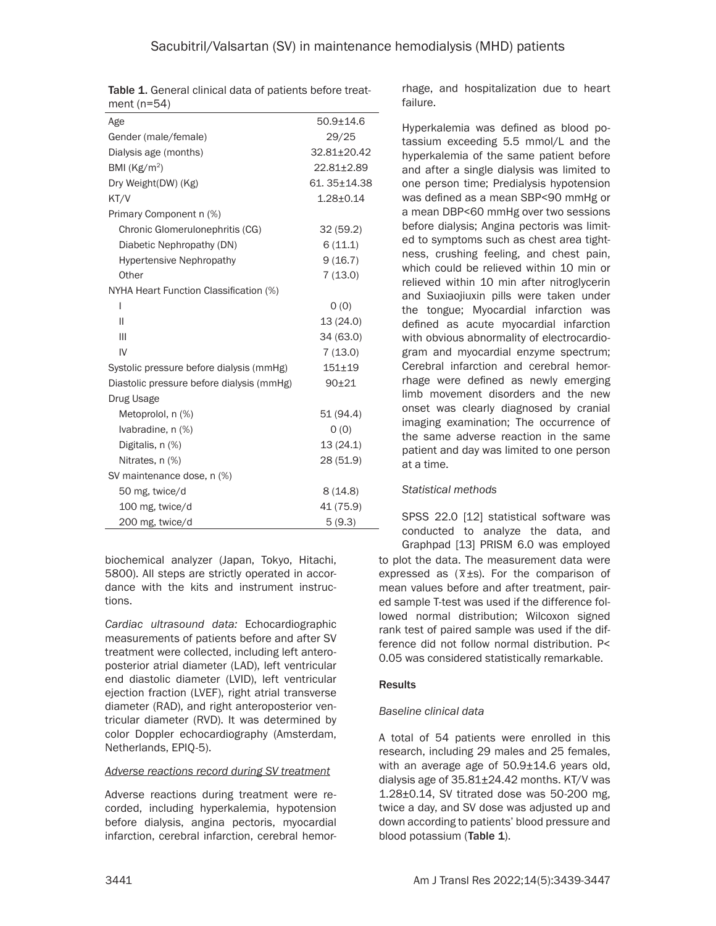|               |  |  | <b>Table 1.</b> General clinical data of patients before treat- |  |
|---------------|--|--|-----------------------------------------------------------------|--|
| ment $(n=54)$ |  |  |                                                                 |  |

| Age                                       | $50.9 + 14.6$ |
|-------------------------------------------|---------------|
| Gender (male/female)                      | 29/25         |
| Dialysis age (months)                     | 32.81±20.42   |
| BMI ( $\text{Kg/m}^2$ )                   | 22.81±2.89    |
| Dry Weight(DW) (Kg)                       | 61.35±14.38   |
| KT/V                                      | $1.28 + 0.14$ |
| Primary Component n (%)                   |               |
| Chronic Glomerulonephritis (CG)           | 32(59.2)      |
| Diabetic Nephropathy (DN)                 | 6(11.1)       |
| <b>Hypertensive Nephropathy</b>           | 9(16.7)       |
| Other                                     | 7(13.0)       |
| NYHA Heart Function Classification (%)    |               |
| I                                         | O(0)          |
| Ш                                         | 13 (24.0)     |
| Ш                                         | 34 (63.0)     |
| IV                                        | 7(13.0)       |
| Systolic pressure before dialysis (mmHg)  | $151 + 19$    |
| Diastolic pressure before dialysis (mmHg) | $90 + 21$     |
| Drug Usage                                |               |
| Metoprolol, n (%)                         | 51 (94.4)     |
| Ivabradine, n (%)                         | O(0)          |
| Digitalis, n (%)                          | 13(24.1)      |
| Nitrates, n (%)                           | 28 (51.9)     |
| SV maintenance dose, n (%)                |               |
| 50 mg, twice/d                            | 8(14.8)       |
| 100 mg, twice/d                           | 41 (75.9)     |
| 200 mg, twice/d                           | 5(9.3)        |

biochemical analyzer (Japan, Tokyo, Hitachi, 5800). All steps are strictly operated in accordance with the kits and instrument instructions.

*Cardiac ultrasound data:* Echocardiographic measurements of patients before and after SV treatment were collected, including left anteroposterior atrial diameter (LAD), left ventricular end diastolic diameter (LVID), left ventricular ejection fraction (LVEF), right atrial transverse diameter (RAD), and right anteroposterior ventricular diameter (RVD). It was determined by color Doppler echocardiography (Amsterdam, Netherlands, EPIQ-5).

#### *Adverse reactions record during SV treatment*

Adverse reactions during treatment were recorded, including hyperkalemia, hypotension before dialysis, angina pectoris, myocardial infarction, cerebral infarction, cerebral hemorrhage, and hospitalization due to heart failure.

Hyperkalemia was defined as blood potassium exceeding 5.5 mmol/L and the hyperkalemia of the same patient before and after a single dialysis was limited to one person time; Predialysis hypotension was defined as a mean SBP<90 mmHg or a mean DBP<60 mmHg over two sessions before dialysis; Angina pectoris was limited to symptoms such as chest area tightness, crushing feeling, and chest pain, which could be relieved within 10 min or relieved within 10 min after nitroglycerin and Suxiaojiuxin pills were taken under the tongue; Myocardial infarction was defined as acute myocardial infarction with obvious abnormality of electrocardiogram and myocardial enzyme spectrum; Cerebral infarction and cerebral hemorrhage were defined as newly emerging limb movement disorders and the new onset was clearly diagnosed by cranial imaging examination; The occurrence of the same adverse reaction in the same patient and day was limited to one person at a time.

## *Statistical methods*

SPSS 22.0 [12] statistical software was conducted to analyze the data, and

to plot the data. The measurement data were expressed as (*\_ x*±s). For the comparison of mean values before and after treatment, paired sample T-test was used if the difference followed normal distribution; Wilcoxon signed rank test of paired sample was used if the difference did not follow normal distribution. P< 0.05 was considered statistically remarkable. Graphpad [13] PRISM 6.0 was employed

## Results

## *Baseline clinical data*

A total of 54 patients were enrolled in this research, including 29 males and 25 females, with an average age of 50.9±14.6 years old, dialysis age of  $35.81 \pm 24.42$  months. KT/V was 1.28±0.14, SV titrated dose was 50-200 mg, twice a day, and SV dose was adjusted up and down according to patients' blood pressure and blood potassium (Table 1).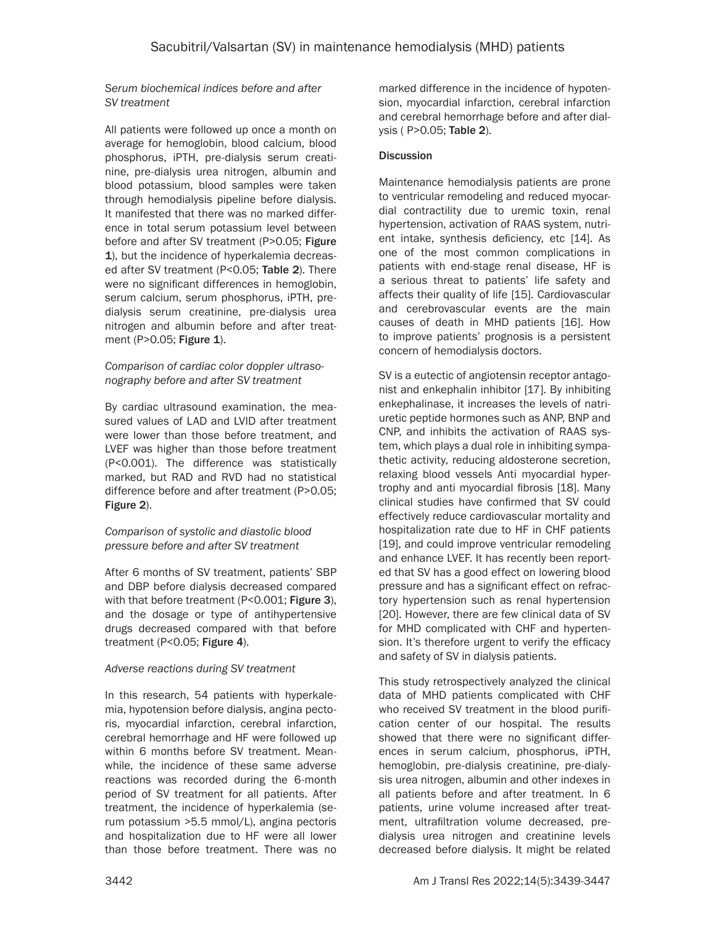## *Serum biochemical indices before and after SV treatment*

All patients were followed up once a month on average for hemoglobin, blood calcium, blood phosphorus, iPTH, pre-dialysis serum creatinine, pre-dialysis urea nitrogen, albumin and blood potassium, blood samples were taken through hemodialysis pipeline before dialysis. It manifested that there was no marked difference in total serum potassium level between before and after SV treatment (P>0.05; Figure 1), but the incidence of hyperkalemia decreased after SV treatment (P<0.05; Table 2). There were no significant differences in hemoglobin, serum calcium, serum phosphorus, iPTH, predialysis serum creatinine, pre-dialysis urea nitrogen and albumin before and after treatment (P>0.05; Figure 1).

## *Comparison of cardiac color doppler ultrasonography before and after SV treatment*

By cardiac ultrasound examination, the measured values of LAD and LVID after treatment were lower than those before treatment, and LVEF was higher than those before treatment (P<0.001). The difference was statistically marked, but RAD and RVD had no statistical difference before and after treatment (P>0.05; Figure 2).

## *Comparison of systolic and diastolic blood pressure before and after SV treatment*

After 6 months of SV treatment, patients' SBP and DBP before dialysis decreased compared with that before treatment (P<0.001; Figure 3), and the dosage or type of antihypertensive drugs decreased compared with that before treatment (P<0.05; Figure 4).

## *Adverse reactions during SV treatment*

In this research, 54 patients with hyperkalemia, hypotension before dialysis, angina pectoris, myocardial infarction, cerebral infarction, cerebral hemorrhage and HF were followed up within 6 months before SV treatment. Meanwhile, the incidence of these same adverse reactions was recorded during the 6-month period of SV treatment for all patients. After treatment, the incidence of hyperkalemia (serum potassium >5.5 mmol/L), angina pectoris and hospitalization due to HF were all lower than those before treatment. There was no

marked difference in the incidence of hypotension, myocardial infarction, cerebral infarction and cerebral hemorrhage before and after dialysis ( P>0.05; Table 2).

## **Discussion**

Maintenance hemodialysis patients are prone to ventricular remodeling and reduced myocardial contractility due to uremic toxin, renal hypertension, activation of RAAS system, nutrient intake, synthesis deficiency, etc [14]. As one of the most common complications in patients with end-stage renal disease, HF is a serious threat to patients' life safety and affects their quality of life [15]. Cardiovascular and cerebrovascular events are the main causes of death in MHD patients [16]. How to improve patients' prognosis is a persistent concern of hemodialysis doctors.

SV is a eutectic of angiotensin receptor antagonist and enkephalin inhibitor [17]. By inhibiting enkephalinase, it increases the levels of natriuretic peptide hormones such as ANP, BNP and CNP, and inhibits the activation of RAAS system, which plays a dual role in inhibiting sympathetic activity, reducing aldosterone secretion, relaxing blood vessels Anti myocardial hypertrophy and anti myocardial fibrosis [18]. Many clinical studies have confirmed that SV could effectively reduce cardiovascular mortality and hospitalization rate due to HF in CHF patients [19], and could improve ventricular remodeling and enhance LVEF. It has recently been reported that SV has a good effect on lowering blood pressure and has a significant effect on refractory hypertension such as renal hypertension [20]. However, there are few clinical data of SV for MHD complicated with CHF and hypertension. It's therefore urgent to verify the efficacy and safety of SV in dialysis patients.

This study retrospectively analyzed the clinical data of MHD patients complicated with CHF who received SV treatment in the blood purification center of our hospital. The results showed that there were no significant differences in serum calcium, phosphorus, iPTH, hemoglobin, pre-dialysis creatinine, pre-dialysis urea nitrogen, albumin and other indexes in all patients before and after treatment. In 6 patients, urine volume increased after treatment, ultrafiltration volume decreased, predialysis urea nitrogen and creatinine levels decreased before dialysis. It might be related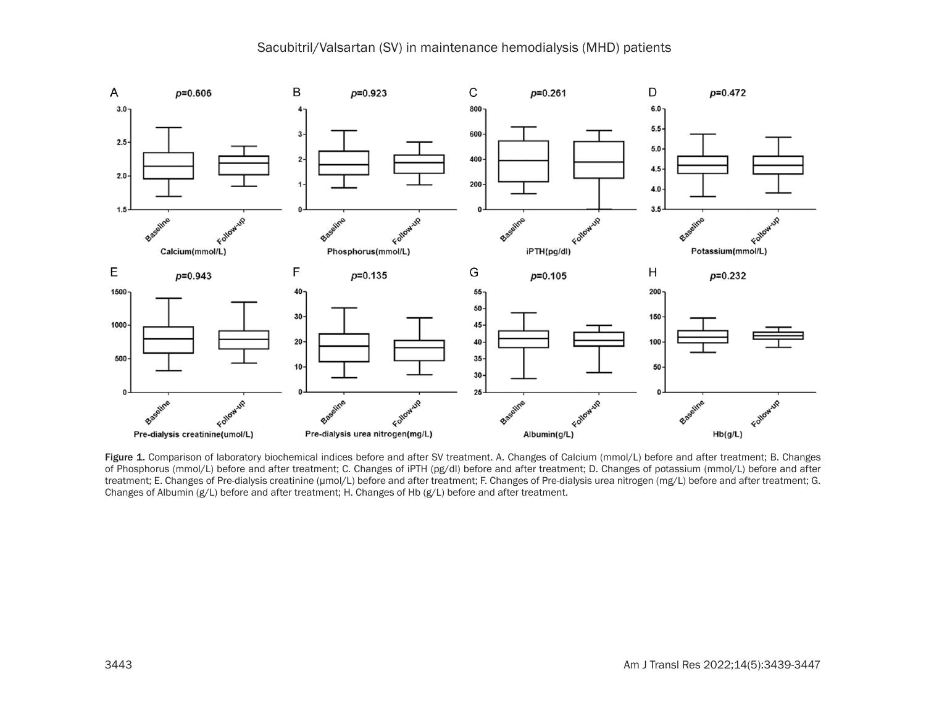## Sacubitril/Valsartan (SV) in maintenance hemodialysis (MHD) patients



Figure 1. Comparison of laboratory biochemical indices before and after SV treatment. A. Changes of Calcium (mmol/L) before and after treatment; B. Changes of Phosphorus (mmol/L) before and after treatment; C. Changes of iPTH (pg/dl) before and after treatment; D. Changes of potassium (mmol/L) before and after treatment; E. Changes of Pre-dialysis creatinine (μmol/L) before and after treatment; F. Changes of Pre-dialysis urea nitrogen (mg/L) before and after treatment; G. Changes of Albumin (g/L) before and after treatment; H. Changes of Hb (g/L) before and after treatment.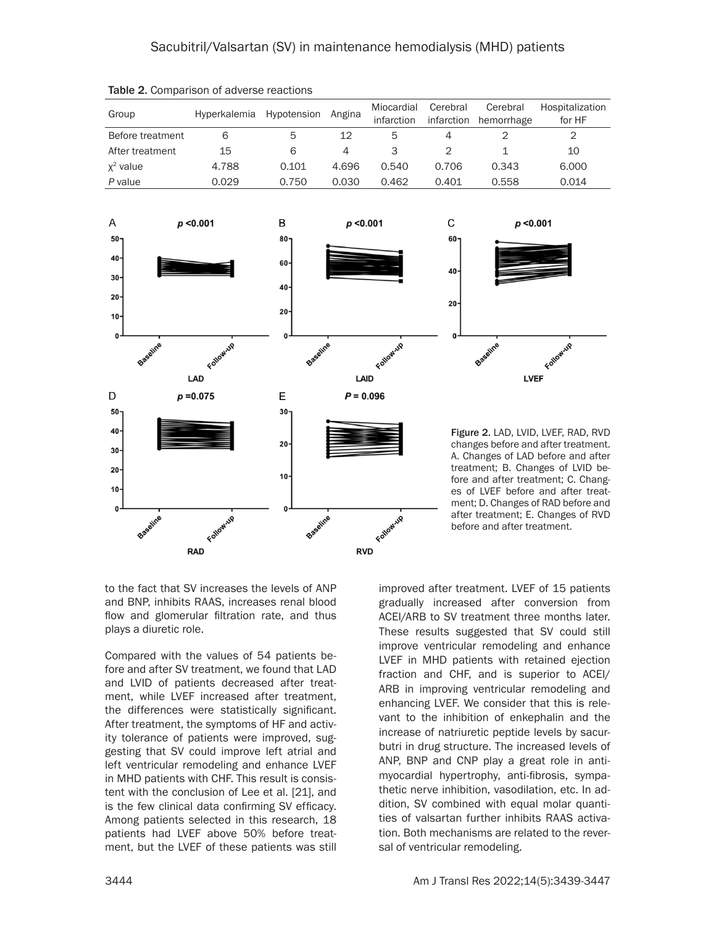| Group            | Hyperkalemia Hypotension |                 | Angina         | Miocardial<br>infarction | Cerebral<br>infarction | Cerebral<br>hemorrhage                                                   | Hospitalization<br>for HF                                               |  |
|------------------|--------------------------|-----------------|----------------|--------------------------|------------------------|--------------------------------------------------------------------------|-------------------------------------------------------------------------|--|
| Before treatment | 6                        | 5               | 12             | 5                        | $\overline{4}$         | $\overline{2}$                                                           | $\overline{2}$                                                          |  |
| After treatment  | 15                       | 6               | $\overline{4}$ | 3                        | $\overline{2}$         | $\mathbf 1$                                                              | 10                                                                      |  |
| $x^2$ value      | 4.788                    | 0.101           | 4.696          | 0.540                    | 0.706                  | 0.343                                                                    | 6.000                                                                   |  |
| P value          | 0.029                    | 0.750           | 0.030          | 0.462                    | 0.401                  | 0.558                                                                    | 0.014                                                                   |  |
|                  |                          |                 |                |                          |                        |                                                                          |                                                                         |  |
| A                | $p$ <0.001               | B               | $p$ <0.001     |                          | C                      | $p$ <0.001                                                               |                                                                         |  |
| $50 -$           |                          | $80 -$          |                |                          | $60 -$                 |                                                                          |                                                                         |  |
| 40               |                          | $60 -$          |                |                          |                        |                                                                          |                                                                         |  |
| 30 <sub>0</sub>  |                          |                 |                |                          | 40                     |                                                                          |                                                                         |  |
| $20 -$           |                          | $40 -$          |                |                          |                        |                                                                          |                                                                         |  |
|                  |                          | 20 <sub>1</sub> |                |                          | $20 -$                 |                                                                          |                                                                         |  |
| $10-$            |                          |                 |                |                          |                        |                                                                          |                                                                         |  |
| 0                |                          | 0               |                |                          |                        |                                                                          |                                                                         |  |
| Baseline         | Following                | Baseline        |                | Followup                 |                        | Baseline                                                                 | Following                                                               |  |
|                  | LAD                      |                 | LAID           |                          |                        | <b>LVEF</b>                                                              |                                                                         |  |
| D                | $p = 0.075$              | E               | $P = 0.096$    |                          |                        |                                                                          |                                                                         |  |
| $50 -$           |                          | $30-$           |                |                          |                        |                                                                          |                                                                         |  |
| 40               |                          |                 |                |                          |                        |                                                                          | Figure 2. LAD, LVID, LVEF, RAD, RVD                                     |  |
| $30 -$           |                          | $20 -$          |                |                          |                        |                                                                          | changes before and after treatment.                                     |  |
| $20 -$           |                          |                 |                |                          |                        |                                                                          | A. Changes of LAD before and after<br>treatment; B. Changes of LVID be- |  |
|                  |                          | 10 <sub>1</sub> |                |                          |                        |                                                                          | fore and after treatment; C. Chang-                                     |  |
| $10 -$           |                          |                 |                |                          |                        |                                                                          | es of LVEF before and after treat-                                      |  |
| 0                |                          |                 |                |                          |                        | ment; D. Changes of RAD before and<br>after treatment; E. Changes of RVD |                                                                         |  |
| Baseline         | Following                | Baseline        |                | Following                |                        | before and after treatment.                                              |                                                                         |  |
|                  | <b>RAD</b>               |                 | <b>RVD</b>     |                          |                        |                                                                          |                                                                         |  |

Table 2. Comparison of adverse reactions

to the fact that SV increases the levels of ANP and BNP, inhibits RAAS, increases renal blood flow and glomerular filtration rate, and thus plays a diuretic role.

Compared with the values of 54 patients before and after SV treatment, we found that LAD and LVID of patients decreased after treatment, while LVEF increased after treatment, the differences were statistically significant. After treatment, the symptoms of HF and activity tolerance of patients were improved, suggesting that SV could improve left atrial and left ventricular remodeling and enhance LVEF in MHD patients with CHF. This result is consistent with the conclusion of Lee et al. [21], and is the few clinical data confirming SV efficacy. Among patients selected in this research, 18 patients had LVEF above 50% before treatment, but the LVEF of these patients was still

improved after treatment. LVEF of 15 patients gradually increased after conversion from ACEI/ARB to SV treatment three months later. These results suggested that SV could still improve ventricular remodeling and enhance LVEF in MHD patients with retained ejection fraction and CHF, and is superior to ACEI/ ARB in improving ventricular remodeling and enhancing LVEF. We consider that this is relevant to the inhibition of enkephalin and the increase of natriuretic peptide levels by sacurbutri in drug structure. The increased levels of ANP, BNP and CNP play a great role in antimyocardial hypertrophy, anti-fibrosis, sympathetic nerve inhibition, vasodilation, etc. In addition, SV combined with equal molar quantities of valsartan further inhibits RAAS activation. Both mechanisms are related to the reversal of ventricular remodeling.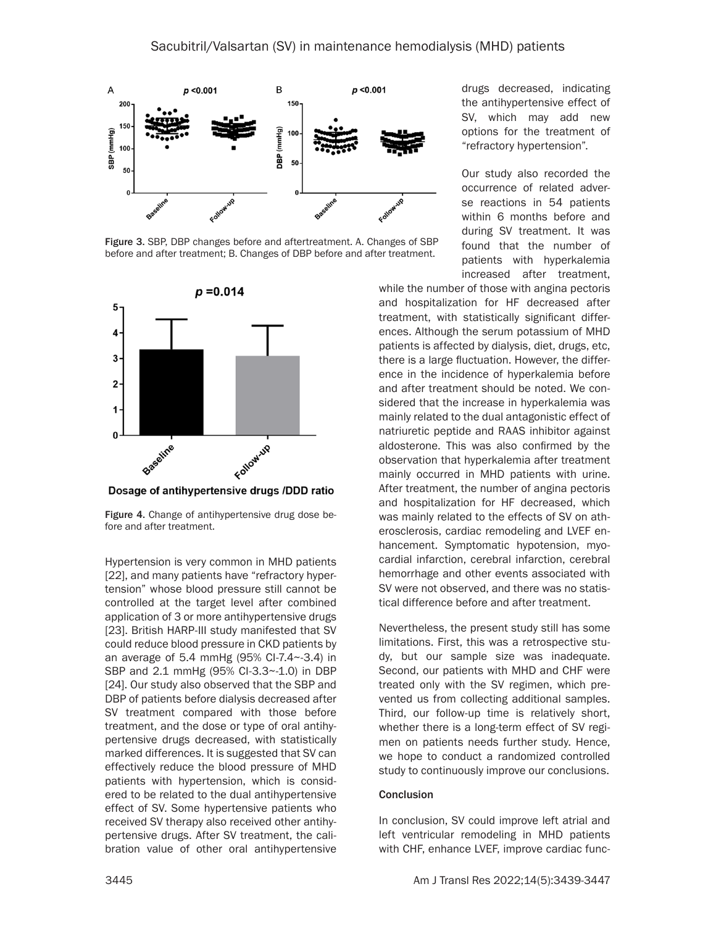

Figure 3. SBP, DBP changes before and aftertreatment. A. Changes of SBP before and after treatment; B. Changes of DBP before and after treatment.



Dosage of antihypertensive drugs /DDD ratio

Figure 4. Change of antihypertensive drug dose before and after treatment.

Hypertension is very common in MHD patients [22], and many patients have "refractory hypertension" whose blood pressure still cannot be controlled at the target level after combined application of 3 or more antihypertensive drugs [23]. British HARP-III study manifested that SV could reduce blood pressure in CKD patients by an average of 5.4 mmHg (95% CI-7.4~-3.4) in SBP and 2.1 mmHg (95% CI-3.3~-1.0) in DBP [24]. Our study also observed that the SBP and DBP of patients before dialysis decreased after SV treatment compared with those before treatment, and the dose or type of oral antihypertensive drugs decreased, with statistically marked differences. It is suggested that SV can effectively reduce the blood pressure of MHD patients with hypertension, which is considered to be related to the dual antihypertensive effect of SV. Some hypertensive patients who received SV therapy also received other antihypertensive drugs. After SV treatment, the calibration value of other oral antihypertensive

drugs decreased, indicating the antihypertensive effect of SV, which may add new options for the treatment of "refractory hypertension".

Our study also recorded the occurrence of related adverse reactions in 54 patients within 6 months before and during SV treatment. It was found that the number of patients with hyperkalemia increased after treatment,

while the number of those with angina pectoris and hospitalization for HF decreased after treatment, with statistically significant differences. Although the serum potassium of MHD patients is affected by dialysis, diet, drugs, etc, there is a large fluctuation. However, the difference in the incidence of hyperkalemia before and after treatment should be noted. We considered that the increase in hyperkalemia was mainly related to the dual antagonistic effect of natriuretic peptide and RAAS inhibitor against aldosterone. This was also confirmed by the observation that hyperkalemia after treatment mainly occurred in MHD patients with urine. After treatment, the number of angina pectoris and hospitalization for HF decreased, which was mainly related to the effects of SV on atherosclerosis, cardiac remodeling and LVEF enhancement. Symptomatic hypotension, myocardial infarction, cerebral infarction, cerebral hemorrhage and other events associated with SV were not observed, and there was no statistical difference before and after treatment.

Nevertheless, the present study still has some limitations. First, this was a retrospective study, but our sample size was inadequate. Second, our patients with MHD and CHF were treated only with the SV regimen, which prevented us from collecting additional samples. Third, our follow-up time is relatively short, whether there is a long-term effect of SV regimen on patients needs further study. Hence, we hope to conduct a randomized controlled study to continuously improve our conclusions.

#### Conclusion

In conclusion, SV could improve left atrial and left ventricular remodeling in MHD patients with CHF, enhance LVEF, improve cardiac func-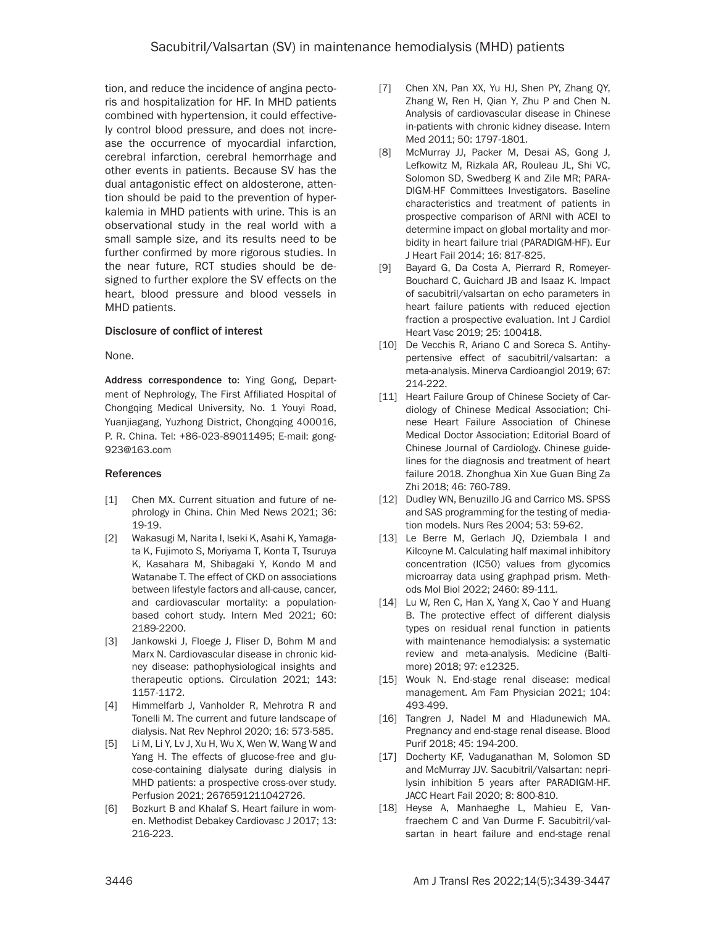tion, and reduce the incidence of angina pectoris and hospitalization for HF. In MHD patients combined with hypertension, it could effectively control blood pressure, and does not increase the occurrence of myocardial infarction, cerebral infarction, cerebral hemorrhage and other events in patients. Because SV has the dual antagonistic effect on aldosterone, attention should be paid to the prevention of hyperkalemia in MHD patients with urine. This is an observational study in the real world with a small sample size, and its results need to be further confirmed by more rigorous studies. In the near future, RCT studies should be designed to further explore the SV effects on the heart, blood pressure and blood vessels in MHD patients.

## Disclosure of conflict of interest

None.

Address correspondence to: Ying Gong, Department of Nephrology, The First Affiliated Hospital of Chongqing Medical University, No. 1 Youyi Road, Yuanjiagang, Yuzhong District, Chongqing 400016, P. R. China. Tel: +86-023-89011495; E-mail: [gong-](mailto:gong923@163.com)[923@163.com](mailto:gong923@163.com)

#### References

- [1] Chen MX. Current situation and future of nephrology in China. Chin Med News 2021; 36: 19-19.
- [2] Wakasugi M, Narita I, Iseki K, Asahi K, Yamagata K, Fujimoto S, Moriyama T, Konta T, Tsuruya K, Kasahara M, Shibagaki Y, Kondo M and Watanabe T. The effect of CKD on associations between lifestyle factors and all-cause, cancer, and cardiovascular mortality: a populationbased cohort study. Intern Med 2021; 60: 2189-2200.
- [3] Jankowski J, Floege J, Fliser D, Bohm M and Marx N. Cardiovascular disease in chronic kidney disease: pathophysiological insights and therapeutic options. Circulation 2021; 143: 1157-1172.
- [4] Himmelfarb J, Vanholder R, Mehrotra R and Tonelli M. The current and future landscape of dialysis. Nat Rev Nephrol 2020; 16: 573-585.
- [5] Li M, Li Y, Lv J, Xu H, Wu X, Wen W, Wang W and Yang H. The effects of glucose-free and glucose-containing dialysate during dialysis in MHD patients: a prospective cross-over study. Perfusion 2021; 2676591211042726.
- [6] Bozkurt B and Khalaf S. Heart failure in women. Methodist Debakey Cardiovasc J 2017; 13: 216-223.
- [7] Chen XN, Pan XX, Yu HJ, Shen PY, Zhang QY, Zhang W, Ren H, Qian Y, Zhu P and Chen N. Analysis of cardiovascular disease in Chinese in-patients with chronic kidney disease. Intern Med 2011; 50: 1797-1801.
- [8] McMurray JJ, Packer M, Desai AS, Gong J, Lefkowitz M, Rizkala AR, Rouleau JL, Shi VC, Solomon SD, Swedberg K and Zile MR; PARA-DIGM-HF Committees Investigators. Baseline characteristics and treatment of patients in prospective comparison of ARNI with ACEI to determine impact on global mortality and morbidity in heart failure trial (PARADIGM-HF). Eur J Heart Fail 2014; 16: 817-825.
- [9] Bayard G, Da Costa A, Pierrard R, Romeyer-Bouchard C, Guichard JB and Isaaz K. Impact of sacubitril/valsartan on echo parameters in heart failure patients with reduced ejection fraction a prospective evaluation. Int J Cardiol Heart Vasc 2019; 25: 100418.
- [10] De Vecchis R, Ariano C and Soreca S. Antihypertensive effect of sacubitril/valsartan: a meta-analysis. Minerva Cardioangiol 2019; 67: 214-222.
- [11] Heart Failure Group of Chinese Society of Cardiology of Chinese Medical Association; Chinese Heart Failure Association of Chinese Medical Doctor Association; Editorial Board of Chinese Journal of Cardiology. Chinese guidelines for the diagnosis and treatment of heart failure 2018. Zhonghua Xin Xue Guan Bing Za Zhi 2018; 46: 760-789.
- [12] Dudley WN, Benuzillo JG and Carrico MS. SPSS and SAS programming for the testing of mediation models. Nurs Res 2004; 53: 59-62.
- [13] Le Berre M, Gerlach JQ, Dziembala I and Kilcoyne M. Calculating half maximal inhibitory concentration (IC50) values from glycomics microarray data using graphpad prism. Methods Mol Biol 2022; 2460: 89-111.
- [14] Lu W, Ren C, Han X, Yang X, Cao Y and Huang B. The protective effect of different dialysis types on residual renal function in patients with maintenance hemodialysis: a systematic review and meta-analysis. Medicine (Baltimore) 2018; 97: e12325.
- [15] Wouk N. End-stage renal disease: medical management. Am Fam Physician 2021; 104: 493-499.
- [16] Tangren J, Nadel M and Hladunewich MA. Pregnancy and end-stage renal disease. Blood Purif 2018; 45: 194-200.
- [17] Docherty KF, Vaduganathan M, Solomon SD and McMurray JJV. Sacubitril/Valsartan: neprilysin inhibition 5 years after PARADIGM-HF. JACC Heart Fail 2020; 8: 800-810.
- [18] Heyse A, Manhaeghe L, Mahieu E, Vanfraechem C and Van Durme F. Sacubitril/valsartan in heart failure and end-stage renal